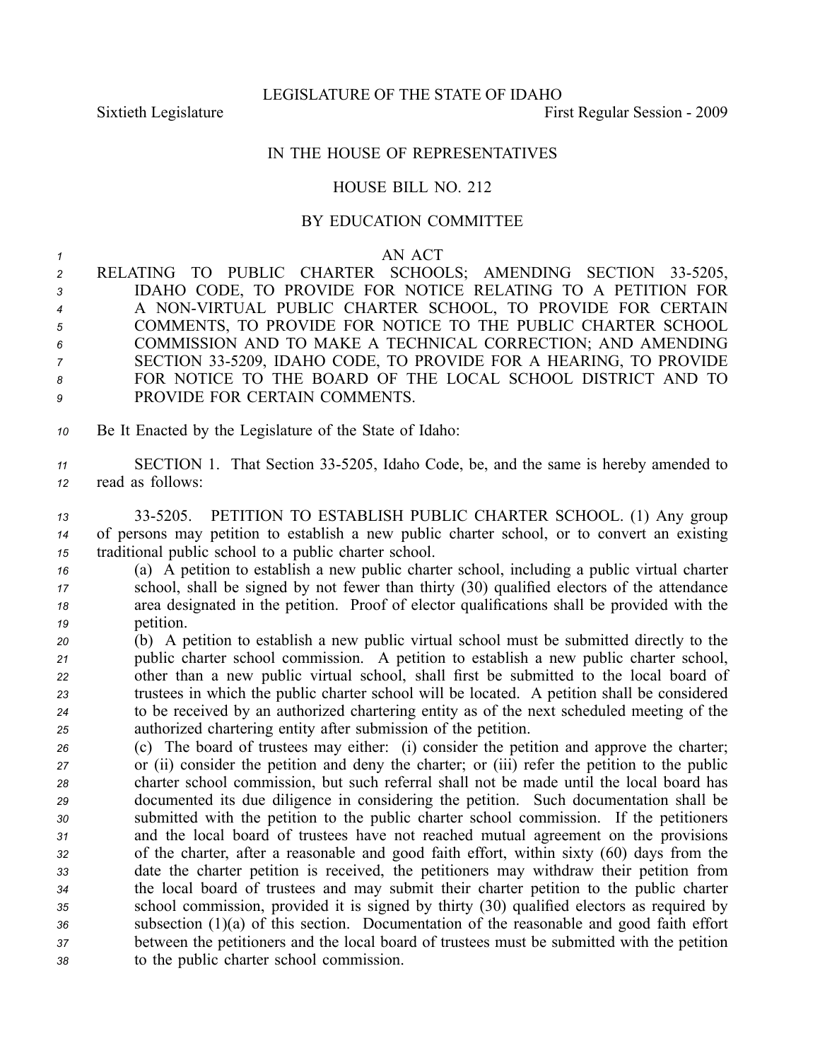## IN THE HOUSE OF REPRESENTATIVES

## HOUSE BILL NO. 212

## BY EDUCATION COMMITTEE

## *<sup>1</sup>* AN ACT

- 2 RELATING TO PUBLIC CHARTER SCHOOLS; AMENDING SECTION 33-5205, *<sup>3</sup>* IDAHO CODE, TO PROVIDE FOR NOTICE RELATING TO A PETITION FOR 4 A NON-VIRTUAL PUBLIC CHARTER SCHOOL, TO PROVIDE FOR CERTAIN *<sup>5</sup>* COMMENTS, TO PROVIDE FOR NOTICE TO THE PUBLIC CHARTER SCHOOL *<sup>6</sup>* COMMISSION AND TO MAKE A TECHNICAL CORRECTION; AND AMENDING 7 SECTION 33-5209, IDAHO CODE, TO PROVIDE FOR A HEARING, TO PROVIDE *8* FOR NOTICE TO THE BOARD OF THE LOCAL SCHOOL DISTRICT AND TO *9* PROVIDE FOR CERTAIN COMMENTS.
- *<sup>10</sup>* Be It Enacted by the Legislature of the State of Idaho:
- *<sup>11</sup>* SECTION 1. That Section 335205, Idaho Code, be, and the same is hereby amended to *<sup>12</sup>* read as follows:
- *<sup>13</sup>* 335205. PETITION TO ESTABLISH PUBLIC CHARTER SCHOOL. (1) Any group *<sup>14</sup>* of persons may petition to establish <sup>a</sup> new public charter school, or to convert an existing *<sup>15</sup>* traditional public school to <sup>a</sup> public charter school.
- *<sup>16</sup>* (a) A petition to establish <sup>a</sup> new public charter school, including <sup>a</sup> public virtual charter *<sup>17</sup>* school, shall be signed by not fewer than thirty (30) qualified electors of the attendance *<sup>18</sup>* area designated in the petition. Proof of elector qualifications shall be provided with the *<sup>19</sup>* petition.
- *<sup>20</sup>* (b) A petition to establish <sup>a</sup> new public virtual school must be submitted directly to the *<sup>21</sup>* public charter school commission. A petition to establish <sup>a</sup> new public charter school, *<sup>22</sup>* other than <sup>a</sup> new public virtual school, shall first be submitted to the local board of *<sup>23</sup>* trustees in which the public charter school will be located. A petition shall be considered *<sup>24</sup>* to be received by an authorized chartering entity as of the next scheduled meeting of the *<sup>25</sup>* authorized chartering entity after submission of the petition.
- *<sup>26</sup>* (c) The board of trustees may either: (i) consider the petition and approve the charter; *<sup>27</sup>* or (ii) consider the petition and deny the charter; or (iii) refer the petition to the public *<sup>28</sup>* charter school commission, but such referral shall not be made until the local board has *<sup>29</sup>* documented its due diligence in considering the petition. Such documentation shall be *<sup>30</sup>* submitted with the petition to the public charter school commission. If the petitioners *<sup>31</sup>* and the local board of trustees have not reached mutual agreemen<sup>t</sup> on the provisions *<sup>32</sup>* of the charter, after <sup>a</sup> reasonable and good faith effort, within sixty (60) days from the *<sup>33</sup>* date the charter petition is received, the petitioners may withdraw their petition from *<sup>34</sup>* the local board of trustees and may submit their charter petition to the public charter *<sup>35</sup>* school commission, provided it is signed by thirty (30) qualified electors as required by *<sup>36</sup>* subsection (1)(a) of this section. Documentation of the reasonable and good faith effort *<sup>37</sup>* between the petitioners and the local board of trustees must be submitted with the petition *<sup>38</sup>* to the public charter school commission.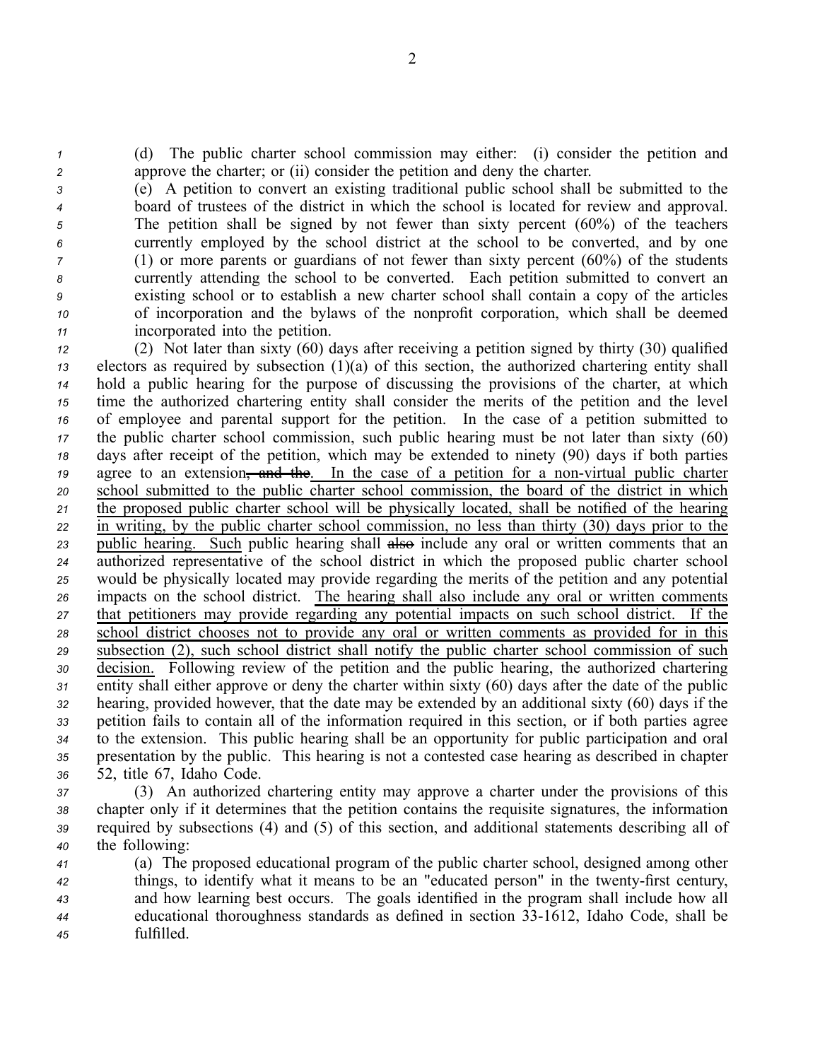*<sup>1</sup>* (d) The public charter school commission may either: (i) consider the petition and *<sup>2</sup>* approve the charter; or (ii) consider the petition and deny the charter.

 (e) A petition to convert an existing traditional public school shall be submitted to the board of trustees of the district in which the school is located for review and approval. The petition shall be signed by not fewer than sixty percen<sup>t</sup> (60%) of the teachers currently employed by the school district at the school to be converted, and by one (1) or more parents or guardians of not fewer than sixty percen<sup>t</sup> (60%) of the students currently attending the school to be converted. Each petition submitted to convert an existing school or to establish <sup>a</sup> new charter school shall contain <sup>a</sup> copy of the articles of incorporation and the bylaws of the nonprofit corporation, which shall be deemed incorporated into the petition.

 (2) Not later than sixty (60) days after receiving <sup>a</sup> petition signed by thirty (30) qualified electors as required by subsection (1)(a) of this section, the authorized chartering entity shall hold <sup>a</sup> public hearing for the purpose of discussing the provisions of the charter, at which time the authorized chartering entity shall consider the merits of the petition and the level of employee and parental suppor<sup>t</sup> for the petition. In the case of <sup>a</sup> petition submitted to the public charter school commission, such public hearing must be not later than sixty (60) days after receipt of the petition, which may be extended to ninety (90) days if both parties agree to an extension, and the. In the case of a petition for a non-virtual public charter school submitted to the public charter school commission, the board of the district in which the proposed public charter school will be physically located, shall be notified of the hearing in writing, by the public charter school commission, no less than thirty (30) days prior to the public hearing. Such public hearing shall also include any oral or written comments that an authorized representative of the school district in which the proposed public charter school would be physically located may provide regarding the merits of the petition and any potential impacts on the school district. The hearing shall also include any oral or written comments that petitioners may provide regarding any potential impacts on such school district. If the school district chooses not to provide any oral or written comments as provided for in this subsection (2), such school district shall notify the public charter school commission of such decision. Following review of the petition and the public hearing, the authorized chartering entity shall either approve or deny the charter within sixty (60) days after the date of the public hearing, provided however, that the date may be extended by an additional sixty (60) days if the petition fails to contain all of the information required in this section, or if both parties agree to the extension. This public hearing shall be an opportunity for public participation and oral presentation by the public. This hearing is not <sup>a</sup> contested case hearing as described in chapter 52, title 67, Idaho Code.

 (3) An authorized chartering entity may approve <sup>a</sup> charter under the provisions of this chapter only if it determines that the petition contains the requisite signatures, the information required by subsections (4) and (5) of this section, and additional statements describing all of the following:

 (a) The proposed educational program of the public charter school, designed among other things, to identify what it means to be an "educated person" in the twenty-first century, and how learning best occurs. The goals identified in the program shall include how all educational thoroughness standards as defined in section 331612, Idaho Code, shall be fulfilled.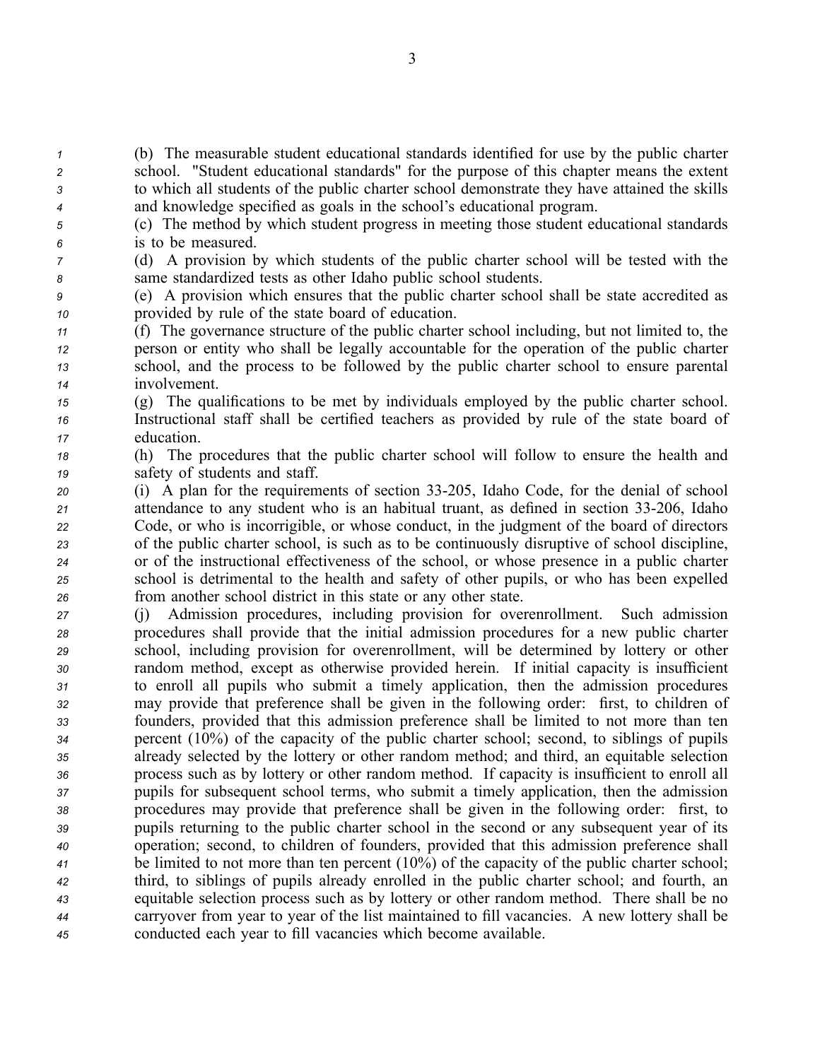(b) The measurable student educational standards identified for use by the public charter school. "Student educational standards" for the purpose of this chapter means the extent to which all students of the public charter school demonstrate they have attained the skills and knowledge specified as goals in the school's educational program.

- *<sup>5</sup>* (c) The method by which student progress in meeting those student educational standards *<sup>6</sup>* is to be measured.
- *<sup>7</sup>* (d) A provision by which students of the public charter school will be tested with the *<sup>8</sup>* same standardized tests as other Idaho public school students.
- *<sup>9</sup>* (e) A provision which ensures that the public charter school shall be state accredited as *<sup>10</sup>* provided by rule of the state board of education.
- *<sup>11</sup>* (f) The governance structure of the public charter school including, but not limited to, the *<sup>12</sup>* person or entity who shall be legally accountable for the operation of the public charter *<sup>13</sup>* school, and the process to be followed by the public charter school to ensure parental *<sup>14</sup>* involvement.
- *<sup>15</sup>* (g) The qualifications to be met by individuals employed by the public charter school. *<sup>16</sup>* Instructional staff shall be certified teachers as provided by rule of the state board of *<sup>17</sup>* education.
- *<sup>18</sup>* (h) The procedures that the public charter school will follow to ensure the health and *<sup>19</sup>* safety of students and staff.
- *<sup>20</sup>* (i) A plan for the requirements of section 33205, Idaho Code, for the denial of school 21 attendance to any student who is an habitual truant, as defined in section 33-206, Idaho *<sup>22</sup>* Code, or who is incorrigible, or whose conduct, in the judgment of the board of directors *<sup>23</sup>* of the public charter school, is such as to be continuously disruptive of school discipline, *<sup>24</sup>* or of the instructional effectiveness of the school, or whose presence in <sup>a</sup> public charter *<sup>25</sup>* school is detrimental to the health and safety of other pupils, or who has been expelled *<sup>26</sup>* from another school district in this state or any other state.
- *<sup>27</sup>* (j) Admission procedures, including provision for overenrollment. Such admission *<sup>28</sup>* procedures shall provide that the initial admission procedures for <sup>a</sup> new public charter *<sup>29</sup>* school, including provision for overenrollment, will be determined by lottery or other *<sup>30</sup>* random method, excep<sup>t</sup> as otherwise provided herein. If initial capacity is insufficient *<sup>31</sup>* to enroll all pupils who submit <sup>a</sup> timely application, then the admission procedures *<sup>32</sup>* may provide that preference shall be given in the following order: first, to children of *<sup>33</sup>* founders, provided that this admission preference shall be limited to not more than ten *<sup>34</sup>* percen<sup>t</sup> (10%) of the capacity of the public charter school; second, to siblings of pupils *<sup>35</sup>* already selected by the lottery or other random method; and third, an equitable selection *<sup>36</sup>* process such as by lottery or other random method. If capacity is insufficient to enroll all *<sup>37</sup>* pupils for subsequent school terms, who submit <sup>a</sup> timely application, then the admission *<sup>38</sup>* procedures may provide that preference shall be given in the following order: first, to *<sup>39</sup>* pupils returning to the public charter school in the second or any subsequent year of its *<sup>40</sup>* operation; second, to children of founders, provided that this admission preference shall *<sup>41</sup>* be limited to not more than ten percen<sup>t</sup> (10%) of the capacity of the public charter school; *<sup>42</sup>* third, to siblings of pupils already enrolled in the public charter school; and fourth, an *<sup>43</sup>* equitable selection process such as by lottery or other random method. There shall be no *<sup>44</sup>* carryover from year to year of the list maintained to fill vacancies. A new lottery shall be *<sup>45</sup>* conducted each year to fill vacancies which become available.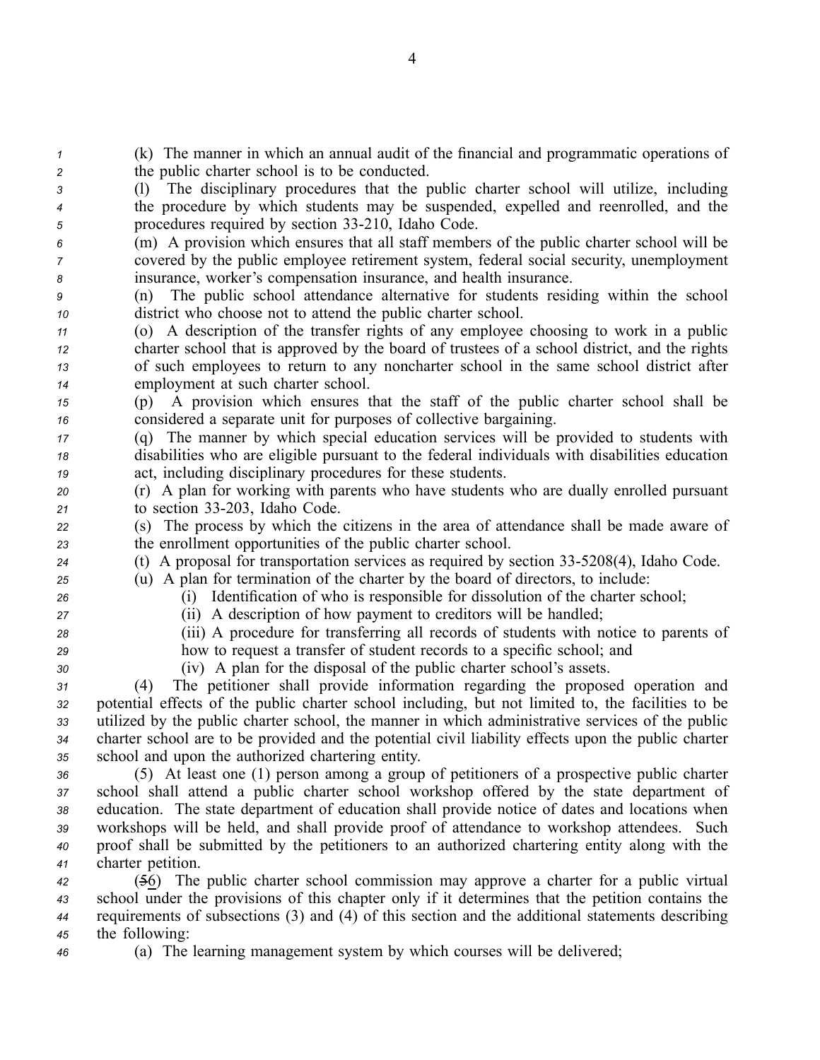(k) The manner in which an annual audit of the financial and programmatic operations of the public charter school is to be conducted. (l) The disciplinary procedures that the public charter school will utilize, including the procedure by which students may be suspended, expelled and reenrolled, and the *f 5* procedures required by section 33-210, Idaho Code. (m) A provision which ensures that all staff members of the public charter school will be covered by the public employee retirement system, federal social security, unemployment insurance, worker's compensation insurance, and health insurance. (n) The public school attendance alternative for students residing within the school district who choose not to attend the public charter school. (o) A description of the transfer rights of any employee choosing to work in <sup>a</sup> public charter school that is approved by the board of trustees of <sup>a</sup> school district, and the rights of such employees to return to any noncharter school in the same school district after employment at such charter school. (p) A provision which ensures that the staff of the public charter school shall be considered <sup>a</sup> separate unit for purposes of collective bargaining. (q) The manner by which special education services will be provided to students with disabilities who are eligible pursuan<sup>t</sup> to the federal individuals with disabilities education act, including disciplinary procedures for these students. (r) A plan for working with parents who have students who are dually enrolled pursuan<sup>t</sup> to section 33203, Idaho Code. (s) The process by which the citizens in the area of attendance shall be made aware of the enrollment opportunities of the public charter school. (t) A proposal for transportation services as required by section 335208(4), Idaho Code. (u) A plan for termination of the charter by the board of directors, to include: (i) Identification of who is responsible for dissolution of the charter school; (ii) A description of how paymen<sup>t</sup> to creditors will be handled; (iii) A procedure for transferring all records of students with notice to parents of how to reques<sup>t</sup> <sup>a</sup> transfer of student records to <sup>a</sup> specific school; and (iv) A plan for the disposal of the public charter school's assets. (4) The petitioner shall provide information regarding the proposed operation and potential effects of the public charter school including, but not limited to, the facilities to be utilized by the public charter school, the manner in which administrative services of the public charter school are to be provided and the potential civil liability effects upon the public charter school and upon the authorized chartering entity. (5) At least one (1) person among <sup>a</sup> group of petitioners of <sup>a</sup> prospective public charter school shall attend <sup>a</sup> public charter school workshop offered by the state department of education. The state department of education shall provide notice of dates and locations when workshops will be held, and shall provide proof of attendance to workshop attendees. Such proof shall be submitted by the petitioners to an authorized chartering entity along with the charter petition. (56) The public charter school commission may approve <sup>a</sup> charter for <sup>a</sup> public virtual school under the provisions of this chapter only if it determines that the petition contains the requirements of subsections (3) and (4) of this section and the additional statements describing

*<sup>45</sup>* the following: *<sup>46</sup>* (a) The learning managemen<sup>t</sup> system by which courses will be delivered;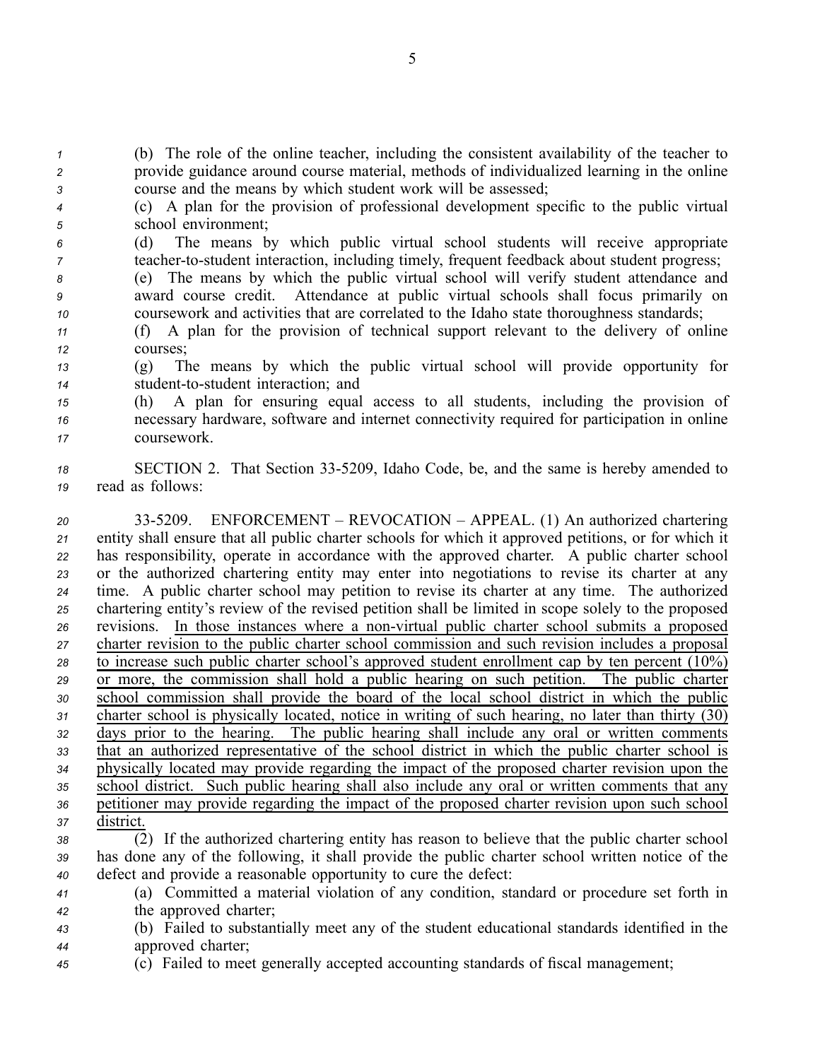*<sup>1</sup>* (b) The role of the online teacher, including the consistent availability of the teacher to *<sup>2</sup>* provide guidance around course material, methods of individualized learning in the online *<sup>3</sup>* course and the means by which student work will be assessed;

*<sup>4</sup>* (c) A plan for the provision of professional development specific to the public virtual *<sup>5</sup>* school environment;

*<sup>6</sup>* (d) The means by which public virtual school students will receive appropriate *7* teacher-to-student interaction, including timely, frequent feedback about student progress;

*<sup>8</sup>* (e) The means by which the public virtual school will verify student attendance and *<sup>9</sup>* award course credit. Attendance at public virtual schools shall focus primarily on *<sup>10</sup>* coursework and activities that are correlated to the Idaho state thoroughness standards;

*<sup>11</sup>* (f) A plan for the provision of technical suppor<sup>t</sup> relevant to the delivery of online *12* courses;

*<sup>13</sup>* (g) The means by which the public virtual school will provide opportunity for *14* student-to-student interaction; and

*<sup>15</sup>* (h) A plan for ensuring equal access to all students, including the provision of *<sup>16</sup>* necessary hardware, software and internet connectivity required for participation in online *<sup>17</sup>* coursework.

18 SECTION 2. That Section 33-5209, Idaho Code, be, and the same is hereby amended to *<sup>19</sup>* read as follows:

 335209. ENFORCEMENT – REVOCATION – APPEAL. (1) An authorized chartering entity shall ensure that all public charter schools for which it approved petitions, or for which it has responsibility, operate in accordance with the approved charter. A public charter school or the authorized chartering entity may enter into negotiations to revise its charter at any time. A public charter school may petition to revise its charter at any time. The authorized chartering entity's review of the revised petition shall be limited in scope solely to the proposed revisions. In those instances where a non-virtual public charter school submits a proposed charter revision to the public charter school commission and such revision includes <sup>a</sup> proposal to increase such public charter school's approved student enrollment cap by ten percen<sup>t</sup> (10%) or more, the commission shall hold <sup>a</sup> public hearing on such petition. The public charter school commission shall provide the board of the local school district in which the public charter school is physically located, notice in writing of such hearing, no later than thirty (30) days prior to the hearing. The public hearing shall include any oral or written comments that an authorized representative of the school district in which the public charter school is physically located may provide regarding the impact of the proposed charter revision upon the school district. Such public hearing shall also include any oral or written comments that any petitioner may provide regarding the impact of the proposed charter revision upon such school district.

*<sup>38</sup>* (2) If the authorized chartering entity has reason to believe that the public charter school *<sup>39</sup>* has done any of the following, it shall provide the public charter school written notice of the *<sup>40</sup>* defect and provide <sup>a</sup> reasonable opportunity to cure the defect:

*<sup>41</sup>* (a) Committed <sup>a</sup> material violation of any condition, standard or procedure set forth in *<sup>42</sup>* the approved charter;

*<sup>43</sup>* (b) Failed to substantially meet any of the student educational standards identified in the *<sup>44</sup>* approved charter;

*<sup>45</sup>* (c) Failed to meet generally accepted accounting standards of fiscal management;